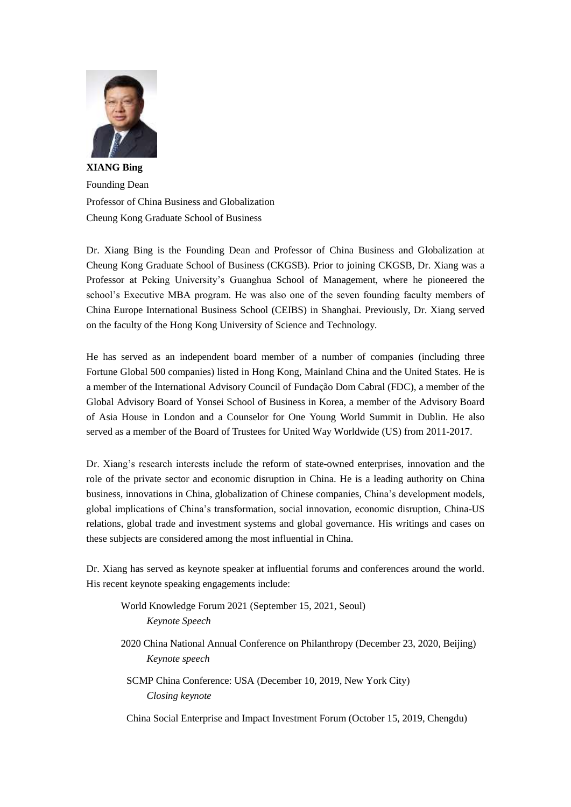

**XIANG Bing** Founding Dean Professor of China Business and Globalization Cheung Kong Graduate School of Business

Dr. Xiang Bing is the Founding Dean and Professor of China Business and Globalization at Cheung Kong Graduate School of Business (CKGSB). Prior to joining CKGSB, Dr. Xiang was a Professor at Peking University"s Guanghua School of Management, where he pioneered the school"s Executive MBA program. He was also one of the seven founding faculty members of China Europe International Business School (CEIBS) in Shanghai. Previously, Dr. Xiang served on the faculty of the Hong Kong University of Science and Technology.

He has served as an independent board member of a number of companies (including three Fortune Global 500 companies) listed in Hong Kong, Mainland China and the United States. He is a member of the International Advisory Council of Fundação Dom Cabral (FDC), a member of the Global Advisory Board of Yonsei School of Business in Korea, a member of the Advisory Board of Asia House in London and a Counselor for One Young World Summit in Dublin. He also served as a member of the Board of Trustees for United Way Worldwide (US) from 2011-2017.

Dr. Xiang's research interests include the reform of state-owned enterprises, innovation and the role of the private sector and economic disruption in China. He is a leading authority on China business, innovations in China, globalization of Chinese companies, China"s development models, global implications of China"s transformation, social innovation, economic disruption, China-US relations, global trade and investment systems and global governance. His writings and cases on these subjects are considered among the most influential in China.

Dr. Xiang has served as keynote speaker at influential forums and conferences around the world. His recent keynote speaking engagements include:

World Knowledge Forum 2021 (September 15, 2021, Seoul) *Keynote Speech*

2020 China National Annual Conference on Philanthropy (December 23, 2020, Beijing) *Keynote speech*

SCMP China Conference: USA (December 10, 2019, New York City) *Closing keynote*

China Social Enterprise and Impact Investment Forum (October 15, 2019, Chengdu)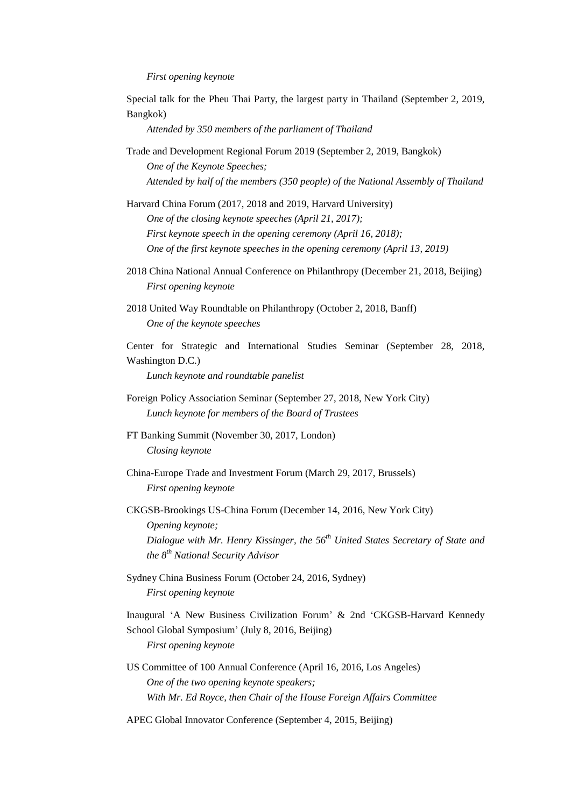## *First opening keynote*

Special talk for the Pheu Thai Party, the largest party in Thailand (September 2, 2019, Bangkok)

*Attended by 350 members of the parliament of Thailand*

Trade and Development Regional Forum 2019 (September 2, 2019, Bangkok) *One of the Keynote Speeches; Attended by half of the members (350 people) of the National Assembly of Thailand* 

Harvard China Forum (2017, 2018 and 2019, Harvard University) *One of the closing keynote speeches (April 21, 2017); First keynote speech in the opening ceremony (April 16, 2018); One of the first keynote speeches in the opening ceremony (April 13, 2019)*

- 2018 China National Annual Conference on Philanthropy (December 21, 2018, Beijing) *First opening keynote*
- 2018 United Way Roundtable on Philanthropy (October 2, 2018, Banff) *One of the keynote speeches*

Center for Strategic and International Studies Seminar (September 28, 2018, Washington D.C.)

*Lunch keynote and roundtable panelist* 

- Foreign Policy Association Seminar (September 27, 2018, New York City) *Lunch keynote for members of the Board of Trustees*
- FT Banking Summit (November 30, 2017, London) *Closing keynote*
- China-Europe Trade and Investment Forum (March 29, 2017, Brussels) *First opening keynote*
- CKGSB-Brookings US-China Forum (December 14, 2016, New York City) *Opening keynote; Dialogue with Mr. Henry Kissinger, the 56th United States Secretary of State and the 8th National Security Advisor*
- Sydney China Business Forum (October 24, 2016, Sydney) *First opening keynote*

Inaugural "A New Business Civilization Forum" & 2nd "CKGSB-Harvard Kennedy School Global Symposium" (July 8, 2016, Beijing) *First opening keynote*

- US Committee of 100 Annual Conference (April 16, 2016, Los Angeles) *One of the two opening keynote speakers; With Mr. Ed Royce, then Chair of the House Foreign Affairs Committee*
- APEC Global Innovator Conference (September 4, 2015, Beijing)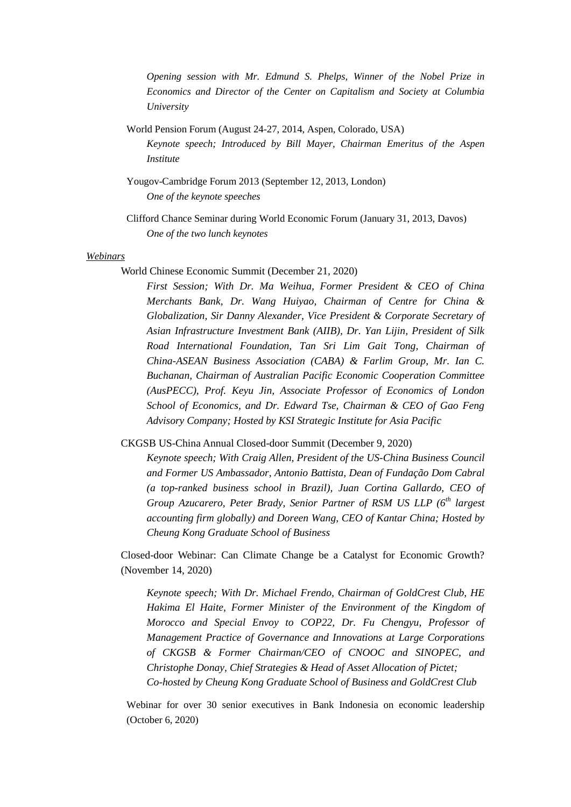*Opening session with Mr. Edmund S. Phelps, Winner of the Nobel Prize in Economics and Director of the Center on Capitalism and Society at Columbia University*

- World Pension Forum (August 24-27, 2014, Aspen, Colorado, USA) *Keynote speech; Introduced by Bill Mayer, Chairman Emeritus of the Aspen Institute*
- Yougov-Cambridge Forum 2013 (September 12, 2013, London) *One of the keynote speeches*
- Clifford Chance Seminar during World Economic Forum (January 31, 2013, Davos) *One of the two lunch keynotes*

## *Webinars*

World Chinese Economic Summit (December 21, 2020)

*First Session; With Dr. Ma Weihua, Former President & CEO of China Merchants Bank, Dr. Wang Huiyao, Chairman of Centre for China & Globalization, Sir Danny Alexander, Vice President & Corporate Secretary of Asian Infrastructure Investment Bank (AIIB), Dr. Yan Lijin, President of Silk Road International Foundation, Tan Sri Lim Gait Tong, Chairman of China-ASEAN Business Association (CABA) & Farlim Group, Mr. Ian C. Buchanan, Chairman of Australian Pacific Economic Cooperation Committee (AusPECC), Prof. Keyu Jin, Associate Professor of Economics of London School of Economics, and Dr. Edward Tse, Chairman & CEO of Gao Feng Advisory Company; Hosted by KSI Strategic Institute for Asia Pacific*

CKGSB US-China Annual Closed-door Summit (December 9, 2020)

*Keynote speech; With Craig Allen, President of the US-China Business Council and Former US Ambassador, Antonio Battista, Dean of Fundação Dom Cabral (a top-ranked business school in Brazil), Juan Cortina Gallardo, CEO of Group Azucarero, Peter Brady, Senior Partner of RSM US LLP (6th largest accounting firm globally) and Doreen Wang, CEO of Kantar China; Hosted by Cheung Kong Graduate School of Business*

Closed-door Webinar: Can Climate Change be a Catalyst for Economic Growth? (November 14, 2020)

*Keynote speech; With Dr. Michael Frendo, Chairman of GoldCrest Club, HE*  Hakima El Haite, Former Minister of the Environment of the Kingdom of *Morocco and Special Envoy to COP22, Dr. Fu Chengyu, Professor of Management Practice of Governance and Innovations at Large Corporations of CKGSB & Former Chairman/CEO of CNOOC and SINOPEC, and Christophe Donay, Chief Strategies & Head of Asset Allocation of Pictet; Co-hosted by Cheung Kong Graduate School of Business and GoldCrest Club*

Webinar for over 30 senior executives in Bank Indonesia on economic leadership (October 6, 2020)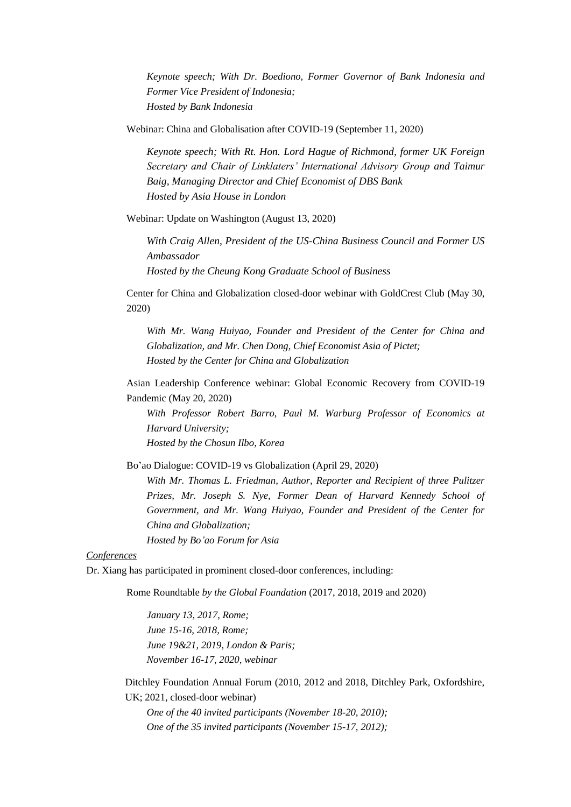*Keynote speech; With Dr. Boediono, Former Governor of Bank Indonesia and Former Vice President of Indonesia; Hosted by Bank Indonesia*

Webinar: China and Globalisation after COVID-19 (September 11, 2020)

*Keynote speech; With Rt. Hon. Lord Hague of Richmond, former UK Foreign Secretary and Chair of Linklaters' International Advisory Group and Taimur Baig, Managing Director and Chief Economist of DBS Bank Hosted by Asia House in London*

Webinar: Update on Washington (August 13, 2020)

*With Craig Allen, President of the US-China Business Council and Former US Ambassador Hosted by the Cheung Kong Graduate School of Business*

Center for China and Globalization closed-door webinar with GoldCrest Club (May 30, 2020)

*With Mr. Wang Huiyao, Founder and President of the Center for China and Globalization, and Mr. Chen Dong, Chief Economist Asia of Pictet; Hosted by the Center for China and Globalization* 

Asian Leadership Conference webinar: Global Economic Recovery from COVID-19 Pandemic (May 20, 2020)

*With Professor Robert Barro, Paul M. Warburg Professor of Economics at Harvard University;* 

*Hosted by the Chosun Ilbo, Korea*

Bo"ao Dialogue: COVID-19 vs Globalization (April 29, 2020)

*With Mr. Thomas L. Friedman, Author, Reporter and Recipient of three Pulitzer Prizes, Mr. Joseph S. Nye, Former Dean of Harvard Kennedy School of Government, and Mr. Wang Huiyao, Founder and President of the Center for China and Globalization;* 

*Hosted by Bo'ao Forum for Asia*

*Conferences*

Dr. Xiang has participated in prominent closed-door conferences, including:

Rome Roundtable *by the Global Foundation* (2017, 2018, 2019 and 2020)

*January 13, 2017, Rome; June 15-16, 2018, Rome; June 19&21, 2019, London & Paris; November 16-17, 2020, webinar*

Ditchley Foundation Annual Forum (2010, 2012 and 2018, Ditchley Park, Oxfordshire, UK; 2021, closed-door webinar)

*One of the 40 invited participants (November 18-20, 2010); One of the 35 invited participants (November 15-17, 2012);*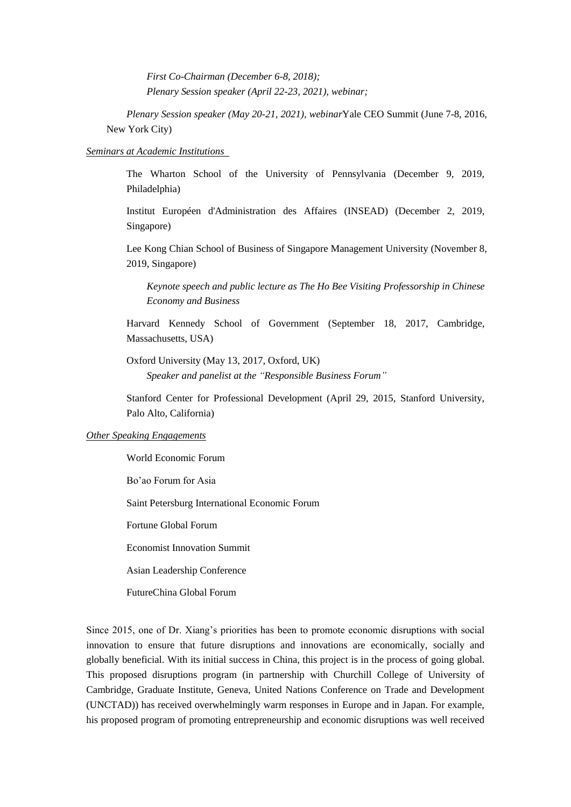*First Co-Chairman (December 6-8, 2018); Plenary Session speaker (April 22-23, 2021), webinar;*

*Plenary Session speaker (May 20-21, 2021), webinar*Yale CEO Summit (June 7-8, 2016, New York City)

## *Seminars at Academic Institutions*

The Wharton School of the University of Pennsylvania (December 9, 2019, Philadelphia)

Institut Européen d'Administration des Affaires (INSEAD) (December 2, 2019, Singapore)

Lee Kong Chian School of Business of Singapore Management University (November 8, 2019, Singapore)

*Keynote speech and public lecture as The Ho Bee Visiting Professorship in Chinese Economy and Business*

Harvard Kennedy School of Government (September 18, 2017, Cambridge, Massachusetts, USA)

Oxford University (May 13, 2017, Oxford, UK) *Speaker and panelist at the "Responsible Business Forum"*

Stanford Center for Professional Development (April 29, 2015, Stanford University, Palo Alto, California)

## *Other Speaking Engagements*

World Economic Forum

Bo"ao Forum for Asia

Saint Petersburg International Economic Forum

Fortune Global Forum

Economist Innovation Summit

Asian Leadership Conference

FutureChina Global Forum

Since 2015, one of Dr. Xiang"s priorities has been to promote economic disruptions with social innovation to ensure that future disruptions and innovations are economically, socially and globally beneficial. With its initial success in China, this project is in the process of going global. This proposed disruptions program (in partnership with Churchill College of University of Cambridge, Graduate Institute, Geneva, United Nations Conference on Trade and Development (UNCTAD)) has received overwhelmingly warm responses in Europe and in Japan. For example, his proposed program of promoting entrepreneurship and economic disruptions was well received